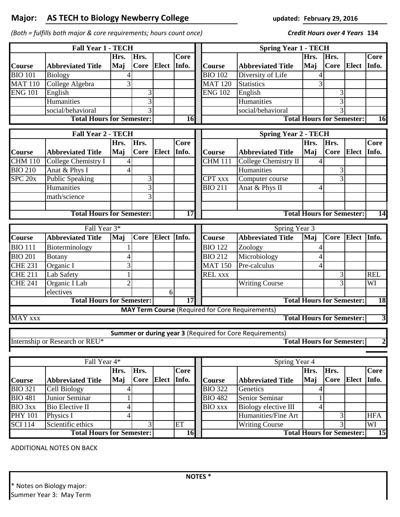## **Major: updated: AS TECH to Biology Newberry College**

*(Both = fulfills both major & core requirements; hours count once)* **134**

**February 29, 2016**

*Credit Hours over 4 Years*

| <b>Fall Year 1 - TECH</b>                           |                                  |                |                                        |              |             |  | <b>Spring Year 1 - TECH</b>                   |                                                                 |                                  |      |              |                         |  |
|-----------------------------------------------------|----------------------------------|----------------|----------------------------------------|--------------|-------------|--|-----------------------------------------------|-----------------------------------------------------------------|----------------------------------|------|--------------|-------------------------|--|
|                                                     |                                  | Hrs.           | Hrs.                                   |              | Core        |  |                                               |                                                                 | Hrs.                             | Hrs. |              | Core                    |  |
| <b>Course</b>                                       | <b>Abbreviated Title</b>         | Maj            | <b>Core</b>                            | Elect        | Info.       |  | Course                                        | <b>Abbreviated Title</b>                                        | Maj                              | Core | <b>Elect</b> | Info.                   |  |
| <b>BIO 101</b>                                      | Biology                          |                |                                        |              |             |  | <b>BIO 102</b>                                | Diversity of Life                                               | 4                                |      |              |                         |  |
| <b>MAT 110</b>                                      | College Algebra                  | 3              |                                        |              |             |  | $\overline{\text{MAT 120}}$                   | <b>Statistics</b>                                               | 3                                |      |              |                         |  |
| <b>ENG 101</b>                                      | English                          |                | 3                                      |              |             |  | <b>ENG 102</b>                                | English                                                         |                                  | 3    |              |                         |  |
|                                                     | Humanities                       |                | 3                                      |              |             |  |                                               | Humanities                                                      |                                  | 3    |              |                         |  |
|                                                     | social/behavioral                |                |                                        |              |             |  |                                               | social/behavioral                                               |                                  |      |              |                         |  |
| <b>Total Hours for Semester:</b><br>16              |                                  |                |                                        |              |             |  | <b>Total Hours for Semester:</b><br><b>16</b> |                                                                 |                                  |      |              |                         |  |
|                                                     | <b>Fall Year 2 - TECH</b>        |                | <b>Spring Year 2 - TECH</b>            |              |             |  |                                               |                                                                 |                                  |      |              |                         |  |
|                                                     |                                  | Hrs.           | Hrs.                                   |              | <b>Core</b> |  |                                               |                                                                 | Hrs.                             | Hrs. |              | Core                    |  |
| <b>Course</b>                                       | <b>Abbreviated Title</b>         | Maj            | <b>Core</b>                            | <b>Elect</b> | Info.       |  | Course                                        | <b>Abbreviated Title</b>                                        | Maj                              | Core | <b>Elect</b> | Info.                   |  |
| <b>CHM 110</b>                                      | College Chemistry I              |                |                                        |              |             |  | $\overline{\text{CHM}}$ 111                   | College Chemistry II                                            |                                  |      |              |                         |  |
| <b>BIO 210</b>                                      | Anat & Phys I                    | 4              |                                        |              |             |  |                                               | Humanities                                                      |                                  | 3    |              |                         |  |
| $\overline{\text{SPC 20}}$ x                        | <b>Public Speaking</b>           |                | 3                                      |              |             |  | <b>CPT</b> xxx                                | Computer course                                                 |                                  |      |              |                         |  |
|                                                     | Humanities                       |                | 3                                      |              |             |  | <b>BIO 211</b>                                | Anat & Phys II                                                  | 4                                |      |              |                         |  |
|                                                     | math/science                     |                | 3                                      |              |             |  |                                               |                                                                 |                                  |      |              |                         |  |
|                                                     |                                  |                |                                        |              |             |  |                                               |                                                                 |                                  |      |              |                         |  |
| <b>Total Hours for Semester:</b><br>$\overline{17}$ |                                  |                |                                        |              |             |  |                                               |                                                                 | <b>Total Hours for Semester:</b> |      |              | 14                      |  |
| Fall Year 3*                                        |                                  |                |                                        |              |             |  | Spring Year 3                                 |                                                                 |                                  |      |              |                         |  |
| Course                                              | <b>Abbreviated Title</b>         | Maj            | <b>Core</b>                            | Elect Info.  |             |  | Course                                        | <b>Abbreviated Title</b>                                        | Maj                              | Core | Elect Info.  |                         |  |
| <b>BIO 111</b>                                      | Bioterminology                   |                |                                        |              |             |  | <b>BIO 122</b>                                | Zoology                                                         |                                  |      |              |                         |  |
| <b>BIO 201</b>                                      | <b>Botany</b>                    | 4              |                                        |              |             |  | <b>BIO 212</b>                                | Microbiology                                                    | 4                                |      |              |                         |  |
| <b>CHE 231</b>                                      | Organic I                        | 3              |                                        |              |             |  | <b>MAT 150</b>                                | Pre-calculus                                                    | 4                                |      |              |                         |  |
| <b>CHE 211</b>                                      | Lab Safety                       |                |                                        |              |             |  | <b>REL XXX</b>                                |                                                                 |                                  | 3    |              | <b>REL</b>              |  |
| <b>CHE 241</b>                                      | Organic I Lab                    | $\overline{2}$ |                                        |              |             |  |                                               | <b>Writing Course</b>                                           |                                  | 3    |              | WI                      |  |
|                                                     | electives                        |                |                                        | 6            |             |  |                                               |                                                                 |                                  |      |              |                         |  |
| <b>Total Hours for Semester:</b><br>$\overline{17}$ |                                  |                |                                        |              |             |  | <b>Total Hours for Semester:</b><br><b>18</b> |                                                                 |                                  |      |              |                         |  |
|                                                     |                                  |                |                                        |              |             |  |                                               | <b>MAY Term Course (Required for Core Requirements)</b>         |                                  |      |              |                         |  |
| <b>MAY XXX</b>                                      |                                  |                |                                        |              |             |  |                                               |                                                                 | <b>Total Hours for Semester:</b> |      |              | 3                       |  |
|                                                     |                                  |                |                                        |              |             |  |                                               | <b>Summer or during year 3 (Required for Core Requirements)</b> |                                  |      |              |                         |  |
|                                                     | Internship or Research or REU*   |                |                                        |              |             |  |                                               |                                                                 | <b>Total Hours for Semester:</b> |      |              | $\overline{\mathbf{c}}$ |  |
|                                                     |                                  |                |                                        |              |             |  |                                               |                                                                 |                                  |      |              |                         |  |
| Fall Year 4*                                        |                                  |                |                                        |              |             |  | Spring Year 4                                 |                                                                 |                                  |      |              |                         |  |
|                                                     |                                  | Hrs.           | Hrs.                                   |              | <b>Core</b> |  |                                               |                                                                 | Hrs.                             | Hrs. |              | <b>Core</b>             |  |
| <b>Course</b>                                       | <b>Abbreviated Title</b>         | Maj            | <b>Core</b>                            | <b>Elect</b> | Info.       |  | Course                                        | <b>Abbreviated Title</b>                                        | Maj                              | Core | <b>Elect</b> | Info.                   |  |
| <b>BIO 321</b>                                      | Cell Biology                     | 4              |                                        |              |             |  | <b>BIO 322</b>                                | Genetics                                                        | 4                                |      |              |                         |  |
| <b>BIO 481</b>                                      | Junior Seminar                   |                |                                        |              |             |  | <b>BIO 482</b>                                | Senior Seminar                                                  | 1                                |      |              |                         |  |
| <b>BIO</b> 3xx                                      | Bio Elective II                  | 4              |                                        |              |             |  | $\overline{BIO}$ xxx                          | Biology elective III                                            | 4                                |      |              |                         |  |
| <b>PHY 101</b>                                      | Physics I                        | 4              |                                        |              |             |  |                                               | Humanities/Fine Art                                             |                                  | 3    |              | <b>HFA</b>              |  |
| <b>SCI</b> 114                                      | Scientific ethics                |                | 3                                      |              | ET<br>16    |  |                                               | <b>Writing Course</b>                                           |                                  | 3    |              | WI                      |  |
|                                                     | <b>Total Hours for Semester:</b> |                | <b>Total Hours for Semester:</b><br>15 |              |             |  |                                               |                                                                 |                                  |      |              |                         |  |

ADDITIONAL NOTES ON BACK